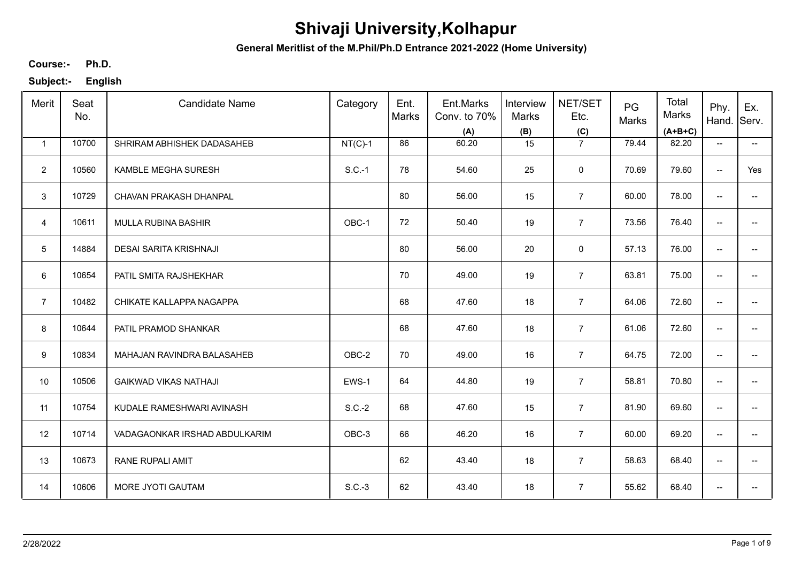**General Meritlist of the M.Phil/Ph.D Entrance 2021-2022 (Home University)**

**Ph.D. Course:-**

| Merit                   | Seat<br>No. | <b>Candidate Name</b>         | Category  | Ent.<br>Marks | Ent.Marks<br>Conv. to 70%<br>(A) | Interview<br>Marks<br>(B) | NET/SET<br>Etc.<br>(C) | PG<br>Marks | Total<br>Marks<br>$(A+B+C)$ | Phy.<br>Hand.                       | Ex.<br>Serv.             |
|-------------------------|-------------|-------------------------------|-----------|---------------|----------------------------------|---------------------------|------------------------|-------------|-----------------------------|-------------------------------------|--------------------------|
| $\mathbf{1}$            | 10700       | SHRIRAM ABHISHEK DADASAHEB    | $NT(C)-1$ | 86            | 60.20                            | 15                        | $\overline{7}$         | 79.44       | 82.20                       | $\overline{\phantom{a}}$            | $\overline{\phantom{a}}$ |
| $\overline{2}$          | 10560       | KAMBLE MEGHA SURESH           | $S.C.-1$  | 78            | 54.60                            | 25                        | $\mathbf 0$            | 70.69       | 79.60                       | $\overline{\phantom{a}}$            | Yes                      |
| $\mathbf{3}$            | 10729       | CHAVAN PRAKASH DHANPAL        |           | 80            | 56.00                            | 15                        | $\overline{7}$         | 60.00       | 78.00                       | $\hspace{0.05cm}$ $\hspace{0.05cm}$ | $\overline{\phantom{a}}$ |
| $\overline{\mathbf{4}}$ | 10611       | MULLA RUBINA BASHIR           | OBC-1     | 72            | 50.40                            | 19                        | $\overline{7}$         | 73.56       | 76.40                       | $\overline{\phantom{a}}$            | $\overline{\phantom{a}}$ |
| 5                       | 14884       | DESAI SARITA KRISHNAJI        |           | 80            | 56.00                            | 20                        | $\mathsf 0$            | 57.13       | 76.00                       | $\overline{\phantom{a}}$            | $\overline{\phantom{a}}$ |
| 6                       | 10654       | PATIL SMITA RAJSHEKHAR        |           | 70            | 49.00                            | 19                        | $\overline{7}$         | 63.81       | 75.00                       | $\overline{\phantom{a}}$            | $- -$                    |
| $\overline{7}$          | 10482       | CHIKATE KALLAPPA NAGAPPA      |           | 68            | 47.60                            | 18                        | $\overline{7}$         | 64.06       | 72.60                       | $\overline{\phantom{a}}$            | $\overline{\phantom{a}}$ |
| 8                       | 10644       | PATIL PRAMOD SHANKAR          |           | 68            | 47.60                            | 18                        | $\overline{7}$         | 61.06       | 72.60                       | $\overline{\phantom{a}}$            | $- -$                    |
| $\boldsymbol{9}$        | 10834       | MAHAJAN RAVINDRA BALASAHEB    | OBC-2     | 70            | 49.00                            | 16                        | $\overline{7}$         | 64.75       | 72.00                       | $\overline{\phantom{a}}$            | $\overline{\phantom{a}}$ |
| 10                      | 10506       | <b>GAIKWAD VIKAS NATHAJI</b>  | EWS-1     | 64            | 44.80                            | 19                        | $\overline{7}$         | 58.81       | 70.80                       | $\overline{\phantom{a}}$            | $\overline{\phantom{a}}$ |
| 11                      | 10754       | KUDALE RAMESHWARI AVINASH     | $S.C.-2$  | 68            | 47.60                            | 15                        | $\overline{7}$         | 81.90       | 69.60                       | $\overline{\phantom{a}}$            | $\overline{\phantom{a}}$ |
| 12                      | 10714       | VADAGAONKAR IRSHAD ABDULKARIM | OBC-3     | 66            | 46.20                            | 16                        | $\overline{7}$         | 60.00       | 69.20                       | $\overline{\phantom{a}}$            | $\overline{\phantom{a}}$ |
| 13                      | 10673       | <b>RANE RUPALI AMIT</b>       |           | 62            | 43.40                            | 18                        | $\overline{7}$         | 58.63       | 68.40                       | $\overline{\phantom{a}}$            | $\overline{\phantom{a}}$ |
| 14                      | 10606       | MORE JYOTI GAUTAM             | $S.C.-3$  | 62            | 43.40                            | 18                        | $\overline{7}$         | 55.62       | 68.40                       | $\overline{\phantom{a}}$            | $\overline{\phantom{a}}$ |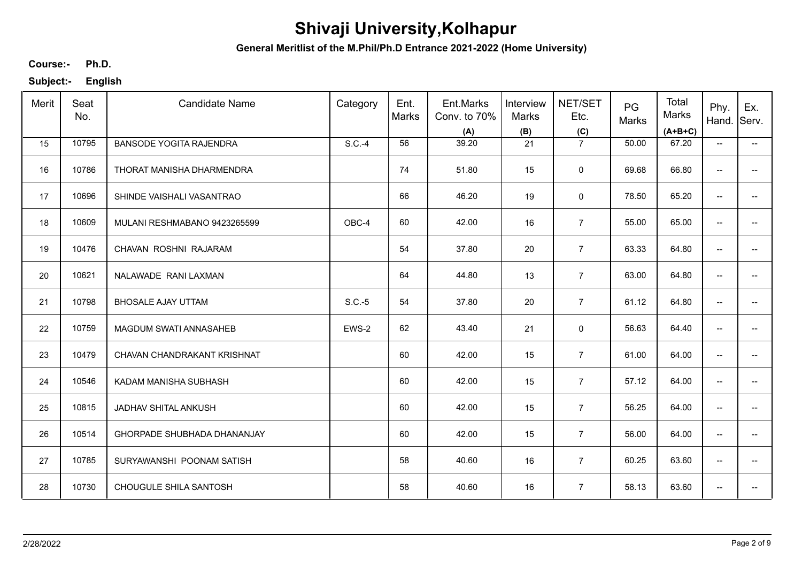**General Meritlist of the M.Phil/Ph.D Entrance 2021-2022 (Home University)**

**Ph.D. Course:-**

| Merit | Seat<br>No. | <b>Candidate Name</b>          | Category | Ent.<br>Marks | Ent.Marks<br>Conv. to 70%<br>(A) | Interview<br>Marks<br>(B) | NET/SET<br>Etc.<br>(C) | PG<br>Marks | Total<br>Marks<br>$(A+B+C)$ | Phy.<br>Hand.            | Ex.<br>Serv.             |
|-------|-------------|--------------------------------|----------|---------------|----------------------------------|---------------------------|------------------------|-------------|-----------------------------|--------------------------|--------------------------|
| 15    | 10795       | <b>BANSODE YOGITA RAJENDRA</b> | S.C.-4   | 56            | 39.20                            | 21                        | $\overline{7}$         | 50.00       | 67.20                       | $\overline{\phantom{a}}$ | $\overline{\phantom{a}}$ |
| 16    | 10786       | THORAT MANISHA DHARMENDRA      |          | 74            | 51.80                            | 15                        | $\mathbf 0$            | 69.68       | 66.80                       | $\overline{\phantom{a}}$ |                          |
| 17    | 10696       | SHINDE VAISHALI VASANTRAO      |          | 66            | 46.20                            | 19                        | $\mathbf 0$            | 78.50       | 65.20                       | $\overline{\phantom{a}}$ |                          |
| 18    | 10609       | MULANI RESHMABANO 9423265599   | OBC-4    | 60            | 42.00                            | 16                        | $\overline{7}$         | 55.00       | 65.00                       | $\overline{\phantom{a}}$ | -−                       |
| 19    | 10476       | CHAVAN ROSHNI RAJARAM          |          | 54            | 37.80                            | 20                        | $\overline{7}$         | 63.33       | 64.80                       | $\overline{\phantom{m}}$ |                          |
| 20    | 10621       | NALAWADE RANI LAXMAN           |          | 64            | 44.80                            | 13                        | $\overline{7}$         | 63.00       | 64.80                       | $\overline{\phantom{m}}$ | --                       |
| 21    | 10798       | <b>BHOSALE AJAY UTTAM</b>      | $S.C.-5$ | 54            | 37.80                            | 20                        | $\overline{7}$         | 61.12       | 64.80                       | $\overline{\phantom{m}}$ | -−                       |
| 22    | 10759       | MAGDUM SWATI ANNASAHEB         | EWS-2    | 62            | 43.40                            | 21                        | 0                      | 56.63       | 64.40                       | $\overline{\phantom{m}}$ |                          |
| 23    | 10479       | CHAVAN CHANDRAKANT KRISHNAT    |          | 60            | 42.00                            | 15                        | $\overline{7}$         | 61.00       | 64.00                       | $\overline{\phantom{a}}$ |                          |
| 24    | 10546       | KADAM MANISHA SUBHASH          |          | 60            | 42.00                            | 15                        | $\overline{7}$         | 57.12       | 64.00                       | $\overline{\phantom{a}}$ |                          |
| 25    | 10815       | JADHAV SHITAL ANKUSH           |          | 60            | 42.00                            | 15                        | $\overline{7}$         | 56.25       | 64.00                       | $\overline{\phantom{a}}$ |                          |
| 26    | 10514       | GHORPADE SHUBHADA DHANANJAY    |          | 60            | 42.00                            | 15                        | $\overline{7}$         | 56.00       | 64.00                       | $\overline{\phantom{a}}$ | $\overline{\phantom{a}}$ |
| 27    | 10785       | SURYAWANSHI POONAM SATISH      |          | 58            | 40.60                            | 16                        | $\overline{7}$         | 60.25       | 63.60                       | $\overline{\phantom{a}}$ | -−                       |
| 28    | 10730       | CHOUGULE SHILA SANTOSH         |          | 58            | 40.60                            | 16                        | $\overline{7}$         | 58.13       | 63.60                       | $\overline{\phantom{a}}$ | -−                       |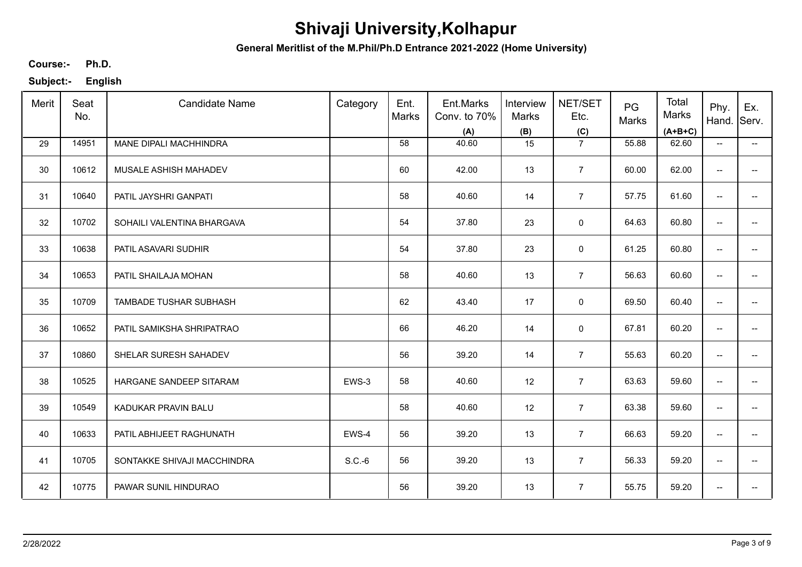**General Meritlist of the M.Phil/Ph.D Entrance 2021-2022 (Home University)**

**Ph.D. Course:-**

| Merit | Seat<br>No. | <b>Candidate Name</b>       | Category | Ent.<br>Marks | Ent.Marks<br>Conv. to 70%<br>(A) | Interview<br><b>Marks</b><br>(B) | NET/SET<br>Etc.<br>(C) | PG<br>Marks | Total<br>Marks<br>$(A+B+C)$ | Phy.<br>Hand.            | Ex.<br>Serv.             |
|-------|-------------|-----------------------------|----------|---------------|----------------------------------|----------------------------------|------------------------|-------------|-----------------------------|--------------------------|--------------------------|
| 29    | 14951       | MANE DIPALI MACHHINDRA      |          | 58            | 40.60                            | 15                               | $\overline{7}$         | 55.88       | 62.60                       | $\overline{\phantom{a}}$ | $\overline{\phantom{a}}$ |
| 30    | 10612       | MUSALE ASHISH MAHADEV       |          | 60            | 42.00                            | 13                               | $\overline{7}$         | 60.00       | 62.00                       | $\overline{\phantom{a}}$ | $\overline{\phantom{a}}$ |
| 31    | 10640       | PATIL JAYSHRI GANPATI       |          | 58            | 40.60                            | 14                               | $\overline{7}$         | 57.75       | 61.60                       | $\overline{\phantom{a}}$ | $\overline{\phantom{a}}$ |
| 32    | 10702       | SOHAILI VALENTINA BHARGAVA  |          | 54            | 37.80                            | 23                               | $\mathsf 0$            | 64.63       | 60.80                       | $\overline{\phantom{a}}$ | $\overline{\phantom{a}}$ |
| 33    | 10638       | PATIL ASAVARI SUDHIR        |          | 54            | 37.80                            | 23                               | $\mathbf 0$            | 61.25       | 60.80                       | $\overline{\phantom{a}}$ | $\overline{\phantom{a}}$ |
| 34    | 10653       | PATIL SHAILAJA MOHAN        |          | 58            | 40.60                            | 13                               | $\overline{7}$         | 56.63       | 60.60                       | $\overline{\phantom{a}}$ | $- -$                    |
| 35    | 10709       | TAMBADE TUSHAR SUBHASH      |          | 62            | 43.40                            | 17                               | $\mathbf 0$            | 69.50       | 60.40                       | $\overline{\phantom{a}}$ | $\overline{\phantom{a}}$ |
| 36    | 10652       | PATIL SAMIKSHA SHRIPATRAO   |          | 66            | 46.20                            | 14                               | $\mathbf 0$            | 67.81       | 60.20                       | $\overline{\phantom{a}}$ | $- -$                    |
| 37    | 10860       | SHELAR SURESH SAHADEV       |          | 56            | 39.20                            | 14                               | $\overline{7}$         | 55.63       | 60.20                       | $\overline{\phantom{a}}$ | $\overline{\phantom{a}}$ |
| 38    | 10525       | HARGANE SANDEEP SITARAM     | EWS-3    | 58            | 40.60                            | 12                               | $\overline{7}$         | 63.63       | 59.60                       | $\overline{\phantom{a}}$ | $\overline{\phantom{a}}$ |
| 39    | 10549       | KADUKAR PRAVIN BALU         |          | 58            | 40.60                            | 12                               | $\overline{7}$         | 63.38       | 59.60                       | $\overline{\phantom{a}}$ | $\overline{\phantom{a}}$ |
| 40    | 10633       | PATIL ABHIJEET RAGHUNATH    | EWS-4    | 56            | 39.20                            | 13                               | $\overline{7}$         | 66.63       | 59.20                       | $\overline{\phantom{a}}$ | $\overline{\phantom{a}}$ |
| 41    | 10705       | SONTAKKE SHIVAJI MACCHINDRA | $S.C.-6$ | 56            | 39.20                            | 13                               | $\overline{7}$         | 56.33       | 59.20                       | $\overline{\phantom{a}}$ | $\overline{\phantom{a}}$ |
| 42    | 10775       | PAWAR SUNIL HINDURAO        |          | 56            | 39.20                            | 13                               | $\overline{7}$         | 55.75       | 59.20                       | $\overline{\phantom{a}}$ | $\overline{\phantom{a}}$ |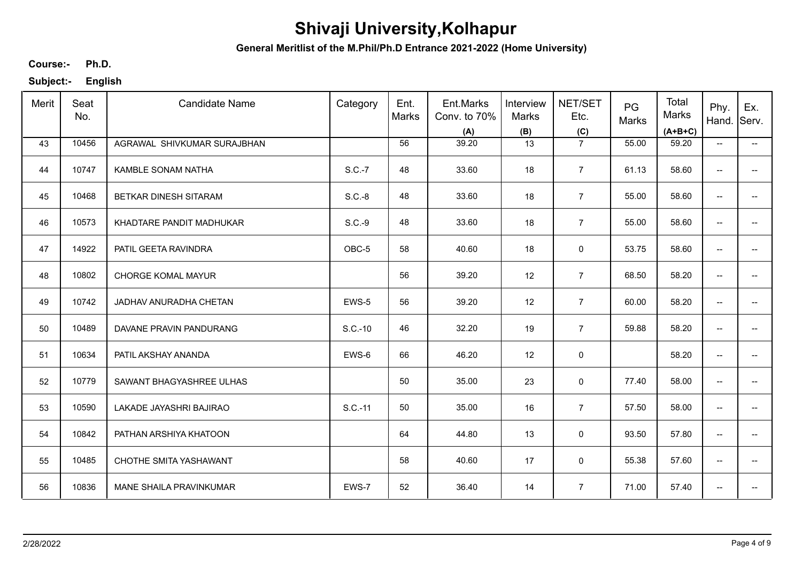**General Meritlist of the M.Phil/Ph.D Entrance 2021-2022 (Home University)**

**Ph.D. Course:-**

| Merit | Seat<br>No. | <b>Candidate Name</b>       | Category | Ent.<br>Marks | Ent.Marks<br>Conv. to 70%<br>(A) | Interview<br><b>Marks</b><br>(B) | NET/SET<br>Etc.<br>(C) | PG<br>Marks | Total<br>Marks<br>$(A+B+C)$ | Phy.<br>Hand.                       | Ex.<br>Serv.             |
|-------|-------------|-----------------------------|----------|---------------|----------------------------------|----------------------------------|------------------------|-------------|-----------------------------|-------------------------------------|--------------------------|
| 43    | 10456       | AGRAWAL SHIVKUMAR SURAJBHAN |          | 56            | 39.20                            | 13                               | $\overline{7}$         | 55.00       | 59.20                       | $\overline{\phantom{a}}$            | $\overline{\phantom{a}}$ |
| 44    | 10747       | <b>KAMBLE SONAM NATHA</b>   | S.C.-7   | 48            | 33.60                            | 18                               | $\overline{7}$         | 61.13       | 58.60                       | $\overline{\phantom{a}}$            | $\overline{a}$           |
| 45    | 10468       | BETKAR DINESH SITARAM       | $S.C.-8$ | 48            | 33.60                            | 18                               | $\overline{7}$         | 55.00       | 58.60                       | $\overline{\phantom{a}}$            | $-$                      |
| 46    | 10573       | KHADTARE PANDIT MADHUKAR    | S.C.-9   | 48            | 33.60                            | 18                               | $\overline{7}$         | 55.00       | 58.60                       | $\overline{\phantom{a}}$            | $\overline{\phantom{a}}$ |
| 47    | 14922       | PATIL GEETA RAVINDRA        | OBC-5    | 58            | 40.60                            | 18                               | 0                      | 53.75       | 58.60                       | $\overline{\phantom{m}}$            | $\overline{\phantom{a}}$ |
| 48    | 10802       | <b>CHORGE KOMAL MAYUR</b>   |          | 56            | 39.20                            | 12                               | $\overline{7}$         | 68.50       | 58.20                       | $\overline{\phantom{a}}$            | --                       |
| 49    | 10742       | JADHAV ANURADHA CHETAN      | EWS-5    | 56            | 39.20                            | 12                               | $\overline{7}$         | 60.00       | 58.20                       | $\overline{\phantom{m}}$            | $\overline{\phantom{a}}$ |
| 50    | 10489       | DAVANE PRAVIN PANDURANG     | S.C.-10  | 46            | 32.20                            | 19                               | $\overline{7}$         | 59.88       | 58.20                       | $\overline{\phantom{m}}$            | $\overline{\phantom{a}}$ |
| 51    | 10634       | PATIL AKSHAY ANANDA         | EWS-6    | 66            | 46.20                            | 12                               | 0                      |             | 58.20                       | $\overline{\phantom{m}}$            | -−                       |
| 52    | 10779       | SAWANT BHAGYASHREE ULHAS    |          | 50            | 35.00                            | 23                               | 0                      | 77.40       | 58.00                       | $\overline{\phantom{a}}$            |                          |
| 53    | 10590       | LAKADE JAYASHRI BAJIRAO     | S.C.-11  | 50            | 35.00                            | 16                               | $\overline{7}$         | 57.50       | 58.00                       | $\overline{\phantom{a}}$            | -−                       |
| 54    | 10842       | PATHAN ARSHIYA KHATOON      |          | 64            | 44.80                            | 13                               | 0                      | 93.50       | 57.80                       | $\overline{\phantom{a}}$            | $\overline{\phantom{a}}$ |
| 55    | 10485       | CHOTHE SMITA YASHAWANT      |          | 58            | 40.60                            | 17                               | $\mathbf 0$            | 55.38       | 57.60                       | $\overline{\phantom{a}}$            | $\overline{\phantom{a}}$ |
| 56    | 10836       | MANE SHAILA PRAVINKUMAR     | EWS-7    | 52            | 36.40                            | 14                               | $\overline{7}$         | 71.00       | 57.40                       | $\hspace{0.05cm}$ $\hspace{0.05cm}$ | ÷                        |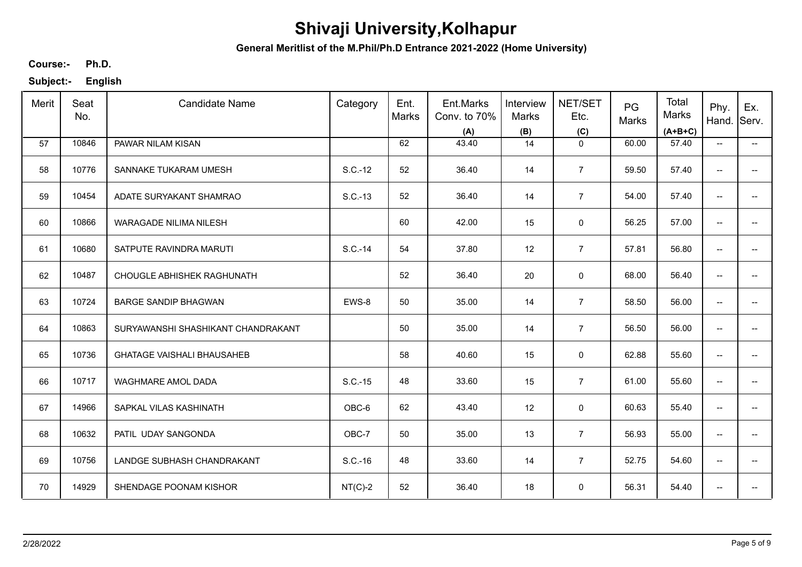**General Meritlist of the M.Phil/Ph.D Entrance 2021-2022 (Home University)**

**Ph.D. Course:-**

| Merit | Seat<br>No. | <b>Candidate Name</b>              | Category  | Ent.<br>Marks | Ent.Marks<br>Conv. to 70%<br>(A) | Interview<br>Marks<br>(B) | NET/SET<br>Etc.<br>(C) | PG<br>Marks | Total<br>Marks<br>$(A+B+C)$ | Phy.<br>Hand.                       | Ex.<br>Serv.                           |
|-------|-------------|------------------------------------|-----------|---------------|----------------------------------|---------------------------|------------------------|-------------|-----------------------------|-------------------------------------|----------------------------------------|
| 57    | 10846       | PAWAR NILAM KISAN                  |           | 62            | 43.40                            | 14                        | $\mathbf 0$            | 60.00       | 57.40                       | $\overline{\phantom{a}}$            | −−                                     |
| 58    | 10776       | SANNAKE TUKARAM UMESH              | S.C.-12   | 52            | 36.40                            | 14                        | $\overline{7}$         | 59.50       | 57.40                       | $\overline{\phantom{a}}$            | $\overline{\phantom{a}}$               |
| 59    | 10454       | ADATE SURYAKANT SHAMRAO            | S.C.-13   | 52            | 36.40                            | 14                        | $\overline{7}$         | 54.00       | 57.40                       | $\overline{\phantom{a}}$            | $\overline{\phantom{a}}$               |
| 60    | 10866       | <b>WARAGADE NILIMA NILESH</b>      |           | 60            | 42.00                            | 15                        | $\mathbf 0$            | 56.25       | 57.00                       | $\overline{\phantom{a}}$            | −−                                     |
| 61    | 10680       | SATPUTE RAVINDRA MARUTI            | S.C.-14   | 54            | 37.80                            | 12                        | $\overline{7}$         | 57.81       | 56.80                       | $\overline{\phantom{a}}$            | $\overline{\phantom{a}}$               |
| 62    | 10487       | CHOUGLE ABHISHEK RAGHUNATH         |           | 52            | 36.40                            | 20                        | $\mathbf 0$            | 68.00       | 56.40                       | $\overline{\phantom{a}}$            | −−                                     |
| 63    | 10724       | <b>BARGE SANDIP BHAGWAN</b>        | EWS-8     | 50            | 35.00                            | 14                        | $\overline{7}$         | 58.50       | 56.00                       | $\overline{\phantom{m}}$            | $\overline{\phantom{a}}$               |
| 64    | 10863       | SURYAWANSHI SHASHIKANT CHANDRAKANT |           | 50            | 35.00                            | 14                        | $\overline{7}$         | 56.50       | 56.00                       | $\overline{\phantom{a}}$            | $\overline{\phantom{a}}$               |
| 65    | 10736       | <b>GHATAGE VAISHALI BHAUSAHEB</b>  |           | 58            | 40.60                            | 15                        | $\mathbf 0$            | 62.88       | 55.60                       | $\overline{\phantom{a}}$            | $\hspace{0.05cm}$ – $\hspace{0.05cm}$  |
| 66    | 10717       | <b>WAGHMARE AMOL DADA</b>          | S.C.-15   | 48            | 33.60                            | 15                        | $\overline{7}$         | 61.00       | 55.60                       | $\overline{\phantom{a}}$            | $\overline{\phantom{a}}$               |
| 67    | 14966       | SAPKAL VILAS KASHINATH             | OBC-6     | 62            | 43.40                            | 12                        | $\mathsf 0$            | 60.63       | 55.40                       | $\overline{\phantom{a}}$            | $\hspace{0.05cm}$ $\hspace{0.05cm}$    |
| 68    | 10632       | PATIL UDAY SANGONDA                | OBC-7     | 50            | 35.00                            | 13                        | $\overline{7}$         | 56.93       | 55.00                       | $\overline{\phantom{a}}$            | $\hspace{0.05cm} \rule{0.5cm}{0.15cm}$ |
| 69    | 10756       | LANDGE SUBHASH CHANDRAKANT         | $S.C.-16$ | 48            | 33.60                            | 14                        | $\overline{7}$         | 52.75       | 54.60                       | $\overline{\phantom{a}}$            | $\hspace{0.05cm}$ $\hspace{0.05cm}$    |
| 70    | 14929       | SHENDAGE POONAM KISHOR             | $NT(C)-2$ | 52            | 36.40                            | 18                        | $\mathbf 0$            | 56.31       | 54.40                       | $\hspace{0.05cm}$ $\hspace{0.05cm}$ | $\hspace{0.05cm}$ – $\hspace{0.05cm}$  |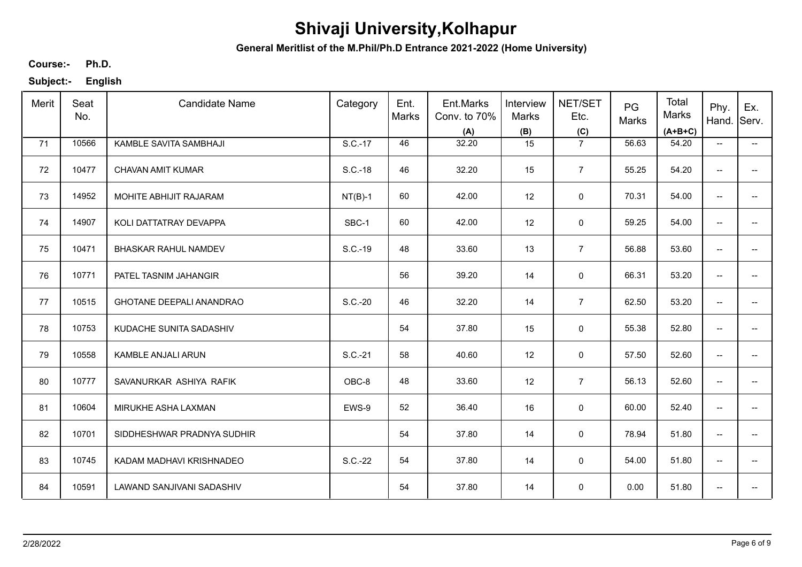**General Meritlist of the M.Phil/Ph.D Entrance 2021-2022 (Home University)**

**Ph.D. Course:-**

| Merit | Seat<br>No. | <b>Candidate Name</b>           | Category  | Ent.<br>Marks | Ent.Marks<br>Conv. to 70%<br>(A) | Interview<br>Marks<br>(B) | NET/SET<br>Etc.<br>(C) | PG<br>Marks | Total<br>Marks<br>$(A+B+C)$ | Phy.<br>Hand.            | Ex.<br>Serv.             |
|-------|-------------|---------------------------------|-----------|---------------|----------------------------------|---------------------------|------------------------|-------------|-----------------------------|--------------------------|--------------------------|
| 71    | 10566       | KAMBLE SAVITA SAMBHAJI          | S.C.-17   | 46            | 32.20                            | 15                        | $\overline{7}$         | 56.63       | 54.20                       | $\overline{\phantom{a}}$ | $\overline{\phantom{a}}$ |
| 72    | 10477       | CHAVAN AMIT KUMAR               | S.C.-18   | 46            | 32.20                            | 15                        | $\overline{7}$         | 55.25       | 54.20                       | $\overline{\phantom{a}}$ | -−                       |
| 73    | 14952       | MOHITE ABHIJIT RAJARAM          | $NT(B)-1$ | 60            | 42.00                            | 12                        | $\mathbf 0$            | 70.31       | 54.00                       | $\overline{\phantom{a}}$ |                          |
| 74    | 14907       | KOLI DATTATRAY DEVAPPA          | SBC-1     | 60            | 42.00                            | 12                        | 0                      | 59.25       | 54.00                       | $\overline{\phantom{a}}$ | $\hspace{0.05cm} \ldots$ |
| 75    | 10471       | <b>BHASKAR RAHUL NAMDEV</b>     | S.C.-19   | 48            | 33.60                            | 13                        | $\overline{7}$         | 56.88       | 53.60                       | $\overline{\phantom{m}}$ | -−                       |
| 76    | 10771       | PATEL TASNIM JAHANGIR           |           | 56            | 39.20                            | 14                        | 0                      | 66.31       | 53.20                       | $\overline{\phantom{a}}$ | $\overline{\phantom{a}}$ |
| 77    | 10515       | <b>GHOTANE DEEPALI ANANDRAO</b> | S.C.-20   | 46            | 32.20                            | 14                        | $\overline{7}$         | 62.50       | 53.20                       | $\overline{\phantom{m}}$ | -−                       |
| 78    | 10753       | KUDACHE SUNITA SADASHIV         |           | 54            | 37.80                            | 15                        | $\mathbf 0$            | 55.38       | 52.80                       | $\overline{\phantom{m}}$ | $\overline{\phantom{a}}$ |
| 79    | 10558       | KAMBLE ANJALI ARUN              | S.C.-21   | 58            | 40.60                            | 12                        | 0                      | 57.50       | 52.60                       | $\overline{\phantom{a}}$ |                          |
| 80    | 10777       | SAVANURKAR ASHIYA RAFIK         | OBC-8     | 48            | 33.60                            | 12                        | $\overline{7}$         | 56.13       | 52.60                       | $\overline{\phantom{a}}$ | --                       |
| 81    | 10604       | MIRUKHE ASHA LAXMAN             | EWS-9     | 52            | 36.40                            | 16                        | $\mathsf 0$            | 60.00       | 52.40                       | $\overline{\phantom{a}}$ | $-$                      |
| 82    | 10701       | SIDDHESHWAR PRADNYA SUDHIR      |           | 54            | 37.80                            | 14                        | 0                      | 78.94       | 51.80                       | $\overline{\phantom{a}}$ | $\overline{\phantom{a}}$ |
| 83    | 10745       | KADAM MADHAVI KRISHNADEO        | S.C.-22   | 54            | 37.80                            | 14                        | $\mathbf 0$            | 54.00       | 51.80                       | $\overline{\phantom{a}}$ | $\hspace{0.05cm} \ldots$ |
| 84    | 10591       | LAWAND SANJIVANI SADASHIV       |           | 54            | 37.80                            | 14                        | 0                      | 0.00        | 51.80                       | $\overline{\phantom{a}}$ | $\hspace{0.05cm} \ldots$ |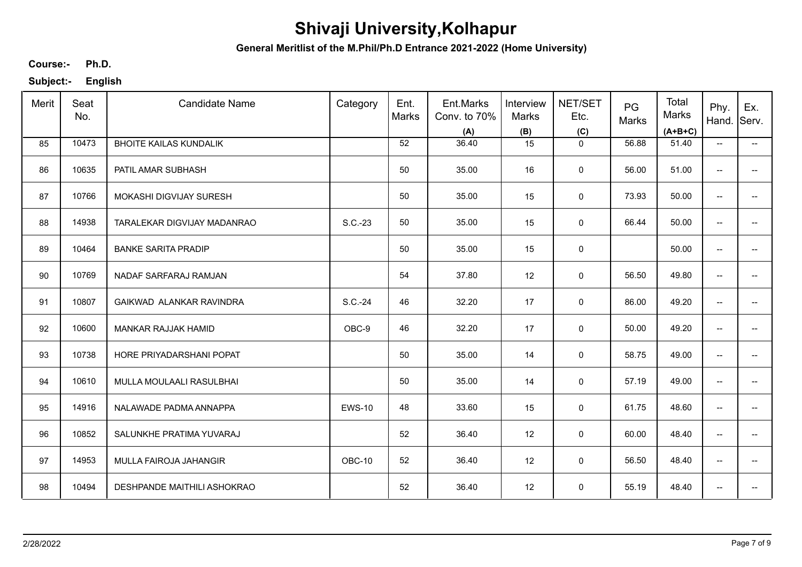**General Meritlist of the M.Phil/Ph.D Entrance 2021-2022 (Home University)**

**Ph.D. Course:-**

| Merit | Seat<br>No. | <b>Candidate Name</b>         | Category      | Ent.<br>Marks | Ent.Marks<br>Conv. to 70%<br>(A) | Interview<br>Marks<br>(B) | NET/SET<br>Etc.<br>(C) | PG<br>Marks | Total<br>Marks<br>$(A+B+C)$ | Phy.<br>Hand.            | Ex.<br>Serv.             |
|-------|-------------|-------------------------------|---------------|---------------|----------------------------------|---------------------------|------------------------|-------------|-----------------------------|--------------------------|--------------------------|
| 85    | 10473       | <b>BHOITE KAILAS KUNDALIK</b> |               | 52            | 36.40                            | 15                        | $\mathbf{0}$           | 56.88       | 51.40                       | $\overline{\phantom{a}}$ | $\overline{\phantom{a}}$ |
| 86    | 10635       | PATIL AMAR SUBHASH            |               | 50            | 35.00                            | 16                        | $\mathbf 0$            | 56.00       | 51.00                       | $\overline{\phantom{a}}$ | -−                       |
| 87    | 10766       | MOKASHI DIGVIJAY SURESH       |               | 50            | 35.00                            | 15                        | 0                      | 73.93       | 50.00                       | $\overline{\phantom{a}}$ |                          |
| 88    | 14938       | TARALEKAR DIGVIJAY MADANRAO   | S.C.-23       | 50            | 35.00                            | 15                        | $\mathbf 0$            | 66.44       | 50.00                       | $\overline{\phantom{a}}$ | $\hspace{0.05cm} \ldots$ |
| 89    | 10464       | <b>BANKE SARITA PRADIP</b>    |               | 50            | 35.00                            | 15                        | 0                      |             | 50.00                       | $\overline{\phantom{m}}$ | -−                       |
| 90    | 10769       | NADAF SARFARAJ RAMJAN         |               | 54            | 37.80                            | 12                        | 0                      | 56.50       | 49.80                       | $\overline{\phantom{a}}$ | --                       |
| 91    | 10807       | GAIKWAD ALANKAR RAVINDRA      | S.C.-24       | 46            | 32.20                            | 17                        | 0                      | 86.00       | 49.20                       | $\overline{\phantom{m}}$ | -−                       |
| 92    | 10600       | MANKAR RAJJAK HAMID           | OBC-9         | 46            | 32.20                            | 17                        | $\mathbf 0$            | 50.00       | 49.20                       | $\overline{\phantom{m}}$ | $\overline{\phantom{a}}$ |
| 93    | 10738       | HORE PRIYADARSHANI POPAT      |               | 50            | 35.00                            | 14                        | 0                      | 58.75       | 49.00                       | $\overline{\phantom{a}}$ |                          |
| 94    | 10610       | MULLA MOULAALI RASULBHAI      |               | 50            | 35.00                            | 14                        | 0                      | 57.19       | 49.00                       | $\overline{\phantom{a}}$ | --                       |
| 95    | 14916       | NALAWADE PADMA ANNAPPA        | <b>EWS-10</b> | 48            | 33.60                            | 15                        | $\mathsf 0$            | 61.75       | 48.60                       | $\overline{\phantom{a}}$ | $-$                      |
| 96    | 10852       | SALUNKHE PRATIMA YUVARAJ      |               | 52            | 36.40                            | 12                        | 0                      | 60.00       | 48.40                       | $\overline{\phantom{a}}$ | $\overline{\phantom{a}}$ |
| 97    | 14953       | MULLA FAIROJA JAHANGIR        | OBC-10        | 52            | 36.40                            | 12                        | $\mathbf 0$            | 56.50       | 48.40                       | $\overline{\phantom{a}}$ | -−                       |
| 98    | 10494       | DESHPANDE MAITHILI ASHOKRAO   |               | 52            | 36.40                            | 12                        | 0                      | 55.19       | 48.40                       | $\overline{\phantom{a}}$ | -−                       |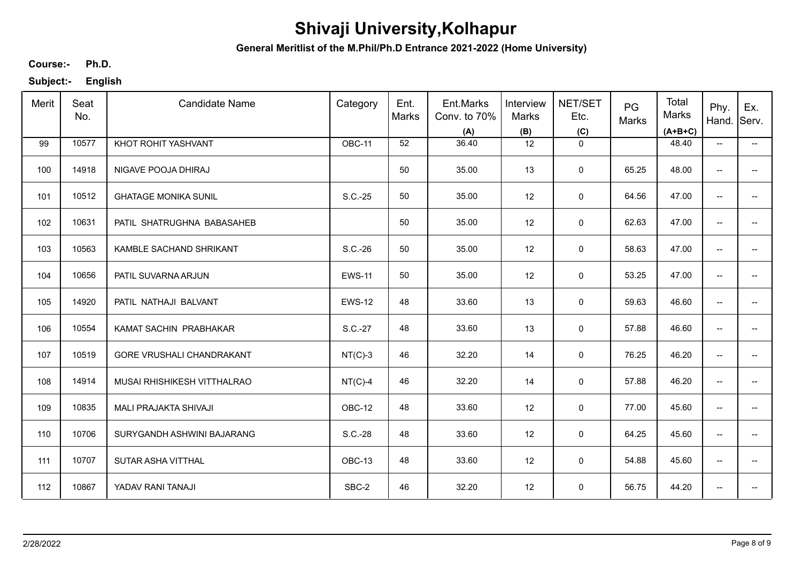**General Meritlist of the M.Phil/Ph.D Entrance 2021-2022 (Home University)**

**Ph.D. Course:-**

| Merit | Seat<br>No. | <b>Candidate Name</b>       | Category      | Ent.<br><b>Marks</b> | Ent.Marks<br>Conv. to 70%<br>(A) | Interview<br>Marks<br>(B) | NET/SET<br>Etc.<br>(C) | PG<br>Marks | Total<br>Marks<br>$(A+B+C)$ | Phy.<br>Hand.                       | Ex.<br>Serv.                          |
|-------|-------------|-----------------------------|---------------|----------------------|----------------------------------|---------------------------|------------------------|-------------|-----------------------------|-------------------------------------|---------------------------------------|
| 99    | 10577       | KHOT ROHIT YASHVANT         | OBC-11        | 52                   | 36.40                            | 12                        | $\mathbf 0$            |             | 48.40                       | $\overline{\phantom{a}}$            | −−                                    |
| 100   | 14918       | NIGAVE POOJA DHIRAJ         |               | 50                   | 35.00                            | 13                        | $\mathbf 0$            | 65.25       | 48.00                       | $\hspace{0.05cm}$ $\hspace{0.05cm}$ | $\hspace{0.05cm}$ – $\hspace{0.05cm}$ |
| 101   | 10512       | <b>GHATAGE MONIKA SUNIL</b> | S.C.-25       | 50                   | 35.00                            | 12                        | $\mathbf 0$            | 64.56       | 47.00                       | $\overline{\phantom{a}}$            | $\overline{\phantom{a}}$              |
| 102   | 10631       | PATIL SHATRUGHNA BABASAHEB  |               | 50                   | 35.00                            | 12                        | 0                      | 62.63       | 47.00                       | $\overline{\phantom{a}}$            | −−                                    |
| 103   | 10563       | KAMBLE SACHAND SHRIKANT     | S.C.-26       | 50                   | 35.00                            | 12                        | 0                      | 58.63       | 47.00                       | $\overline{\phantom{a}}$            | $\overline{\phantom{a}}$              |
| 104   | 10656       | PATIL SUVARNA ARJUN         | <b>EWS-11</b> | 50                   | 35.00                            | 12                        | 0                      | 53.25       | 47.00                       | $\overline{\phantom{a}}$            | $\overline{\phantom{a}}$              |
| 105   | 14920       | PATIL NATHAJI BALVANT       | <b>EWS-12</b> | 48                   | 33.60                            | 13                        | $\mathbf 0$            | 59.63       | 46.60                       | $\overline{\phantom{a}}$            | −−                                    |
| 106   | 10554       | KAMAT SACHIN PRABHAKAR      | S.C.-27       | 48                   | 33.60                            | 13                        | $\mathbf 0$            | 57.88       | 46.60                       | $\overline{\phantom{a}}$            | $\overline{\phantom{a}}$              |
| 107   | 10519       | GORE VRUSHALI CHANDRAKANT   | $NT(C)-3$     | 46                   | 32.20                            | 14                        | 0                      | 76.25       | 46.20                       | $\overline{\phantom{a}}$            | $\overline{\phantom{a}}$              |
| 108   | 14914       | MUSAI RHISHIKESH VITTHALRAO | $NT(C)-4$     | 46                   | 32.20                            | 14                        | $\mathbf 0$            | 57.88       | 46.20                       | $\overline{\phantom{a}}$            | $\overline{\phantom{a}}$              |
| 109   | 10835       | MALI PRAJAKTA SHIVAJI       | OBC-12        | 48                   | 33.60                            | 12                        | $\mathsf 0$            | 77.00       | 45.60                       | $\overline{\phantom{a}}$            | $\overline{\phantom{a}}$              |
| 110   | 10706       | SURYGANDH ASHWINI BAJARANG  | S.C.-28       | 48                   | 33.60                            | 12                        | $\mathsf 0$            | 64.25       | 45.60                       | $\overline{\phantom{a}}$            | $- -$                                 |
| 111   | 10707       | SUTAR ASHA VITTHAL          | OBC-13        | 48                   | 33.60                            | 12                        | $\mathbf 0$            | 54.88       | 45.60                       | $\overline{\phantom{a}}$            | $\overline{\phantom{a}}$              |
| 112   | 10867       | YADAV RANI TANAJI           | SBC-2         | 46                   | 32.20                            | 12                        | $\mathbf 0$            | 56.75       | 44.20                       | $\overline{\phantom{a}}$            | $\overline{\phantom{a}}$              |